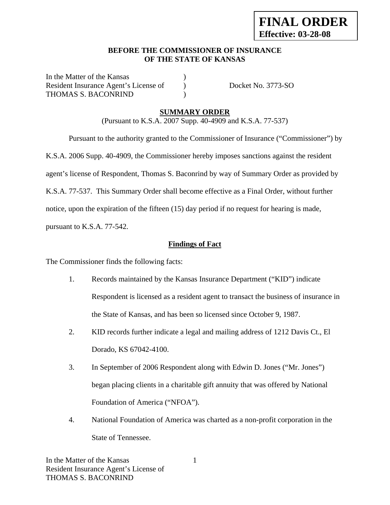### **BEFORE THE COMMISSIONER OF INSURANCE OF THE STATE OF KANSAS**

In the Matter of the Kansas Resident Insurance Agent's License of Docket No. 3773-SO THOMAS S. BACONRIND (

## **SUMMARY ORDER**

(Pursuant to K.S.A. 2007 Supp. 40-4909 and K.S.A. 77-537)

 Pursuant to the authority granted to the Commissioner of Insurance ("Commissioner") by K.S.A. 2006 Supp. 40-4909, the Commissioner hereby imposes sanctions against the resident agent's license of Respondent, Thomas S. Baconrind by way of Summary Order as provided by K.S.A. 77-537. This Summary Order shall become effective as a Final Order, without further notice, upon the expiration of the fifteen (15) day period if no request for hearing is made,

pursuant to K.S.A. 77-542.

## **Findings of Fact**

The Commissioner finds the following facts:

- 1. Records maintained by the Kansas Insurance Department ("KID") indicate Respondent is licensed as a resident agent to transact the business of insurance in the State of Kansas, and has been so licensed since October 9, 1987.
- 2. KID records further indicate a legal and mailing address of 1212 Davis Ct., El Dorado, KS 67042-4100.
- 3. In September of 2006 Respondent along with Edwin D. Jones ("Mr. Jones") began placing clients in a charitable gift annuity that was offered by National Foundation of America ("NFOA").
- 4. National Foundation of America was charted as a non-profit corporation in the State of Tennessee.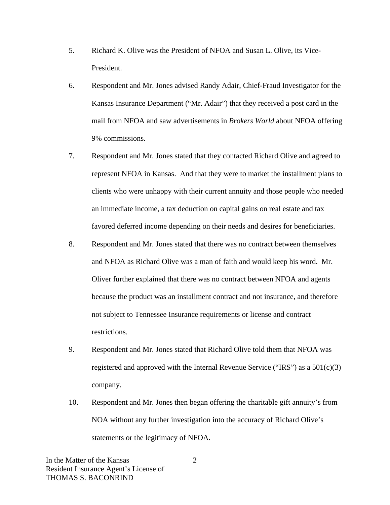- 5. Richard K. Olive was the President of NFOA and Susan L. Olive, its Vice-President.
- 6. Respondent and Mr. Jones advised Randy Adair, Chief-Fraud Investigator for the Kansas Insurance Department ("Mr. Adair") that they received a post card in the mail from NFOA and saw advertisements in *Brokers World* about NFOA offering 9% commissions.
- 7. Respondent and Mr. Jones stated that they contacted Richard Olive and agreed to represent NFOA in Kansas. And that they were to market the installment plans to clients who were unhappy with their current annuity and those people who needed an immediate income, a tax deduction on capital gains on real estate and tax favored deferred income depending on their needs and desires for beneficiaries.
- 8. Respondent and Mr. Jones stated that there was no contract between themselves and NFOA as Richard Olive was a man of faith and would keep his word. Mr. Oliver further explained that there was no contract between NFOA and agents because the product was an installment contract and not insurance, and therefore not subject to Tennessee Insurance requirements or license and contract restrictions.
- 9. Respondent and Mr. Jones stated that Richard Olive told them that NFOA was registered and approved with the Internal Revenue Service ("IRS") as a  $501(c)(3)$ company.
- 10. Respondent and Mr. Jones then began offering the charitable gift annuity's from NOA without any further investigation into the accuracy of Richard Olive's statements or the legitimacy of NFOA.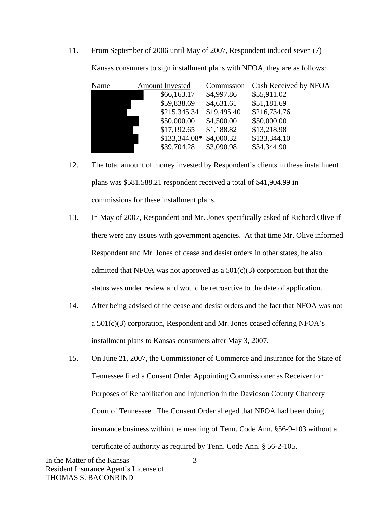11. From September of 2006 until May of 2007, Respondent induced seven (7)

| <b>Amount Invested</b> | Commission  | Cash Received by NFOA |
|------------------------|-------------|-----------------------|
| \$66,163.17            | \$4,997.86  | \$55,911.02           |
| \$59,838.69            | \$4,631.61  | \$51,181.69           |
| \$215,345.34           | \$19,495.40 | \$216,734.76          |
| \$50,000.00            | \$4,500.00  | \$50,000.00           |
| \$17,192.65            | \$1,188.82  | \$13,218.98           |
|                        | \$4,000.32  | \$133,344.10          |
| \$39,704.28            | \$3,090.98  | \$34,344.90           |
|                        |             | $$133,344.08*$        |

Kansas consumers to sign installment plans with NFOA, they are as follows:

- 12. The total amount of money invested by Respondent's clients in these installment plans was \$581,588.21 respondent received a total of \$41,904.99 in commissions for these installment plans.
- 13. In May of 2007, Respondent and Mr. Jones specifically asked of Richard Olive if there were any issues with government agencies. At that time Mr. Olive informed Respondent and Mr. Jones of cease and desist orders in other states, he also admitted that NFOA was not approved as a  $501(c)(3)$  corporation but that the status was under review and would be retroactive to the date of application.
- 14. After being advised of the cease and desist orders and the fact that NFOA was not a 501(c)(3) corporation, Respondent and Mr. Jones ceased offering NFOA's installment plans to Kansas consumers after May 3, 2007.
- 15. On June 21, 2007, the Commissioner of Commerce and Insurance for the State of Tennessee filed a Consent Order Appointing Commissioner as Receiver for Purposes of Rehabilitation and Injunction in the Davidson County Chancery Court of Tennessee. The Consent Order alleged that NFOA had been doing insurance business within the meaning of Tenn. Code Ann. §56-9-103 without a certificate of authority as required by Tenn. Code Ann. § 56-2-105.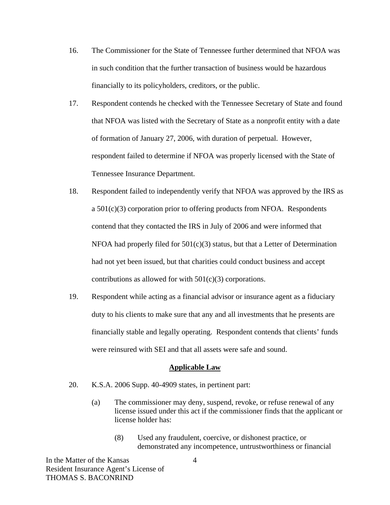- 16. The Commissioner for the State of Tennessee further determined that NFOA was in such condition that the further transaction of business would be hazardous financially to its policyholders, creditors, or the public.
- 17. Respondent contends he checked with the Tennessee Secretary of State and found that NFOA was listed with the Secretary of State as a nonprofit entity with a date of formation of January 27, 2006, with duration of perpetual. However, respondent failed to determine if NFOA was properly licensed with the State of Tennessee Insurance Department.
- 18. Respondent failed to independently verify that NFOA was approved by the IRS as a 501(c)(3) corporation prior to offering products from NFOA. Respondents contend that they contacted the IRS in July of 2006 and were informed that NFOA had properly filed for  $501(c)(3)$  status, but that a Letter of Determination had not yet been issued, but that charities could conduct business and accept contributions as allowed for with  $501(c)(3)$  corporations.
- 19. Respondent while acting as a financial advisor or insurance agent as a fiduciary duty to his clients to make sure that any and all investments that he presents are financially stable and legally operating. Respondent contends that clients' funds were reinsured with SEI and that all assets were safe and sound.

#### **Applicable Law**

- 20. K.S.A. 2006 Supp. 40-4909 states, in pertinent part:
	- (a) The commissioner may deny, suspend, revoke, or refuse renewal of any license issued under this act if the commissioner finds that the applicant or license holder has:
		- (8) Used any fraudulent, coercive, or dishonest practice, or demonstrated any incompetence, untrustworthiness or financial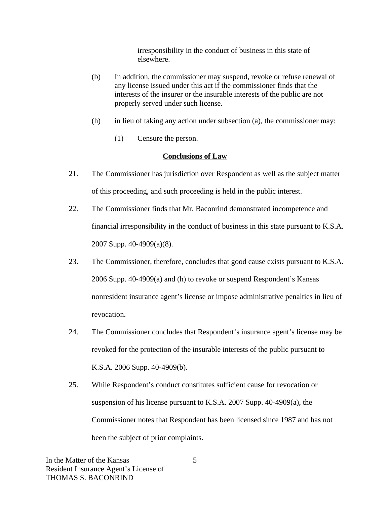irresponsibility in the conduct of business in this state of elsewhere.

- (b) In addition, the commissioner may suspend, revoke or refuse renewal of any license issued under this act if the commissioner finds that the interests of the insurer or the insurable interests of the public are not properly served under such license.
- (h) in lieu of taking any action under subsection (a), the commissioner may:
	- (1) Censure the person.

#### **Conclusions of Law**

- 21. The Commissioner has jurisdiction over Respondent as well as the subject matter of this proceeding, and such proceeding is held in the public interest.
- 22. The Commissioner finds that Mr. Baconrind demonstrated incompetence and financial irresponsibility in the conduct of business in this state pursuant to K.S.A. 2007 Supp. 40-4909(a)(8).
- 23. The Commissioner, therefore, concludes that good cause exists pursuant to K.S.A. 2006 Supp. 40-4909(a) and (h) to revoke or suspend Respondent's Kansas nonresident insurance agent's license or impose administrative penalties in lieu of revocation.
- 24. The Commissioner concludes that Respondent's insurance agent's license may be revoked for the protection of the insurable interests of the public pursuant to K.S.A. 2006 Supp. 40-4909(b).
- 25. While Respondent's conduct constitutes sufficient cause for revocation or suspension of his license pursuant to K.S.A. 2007 Supp. 40-4909(a), the Commissioner notes that Respondent has been licensed since 1987 and has not been the subject of prior complaints.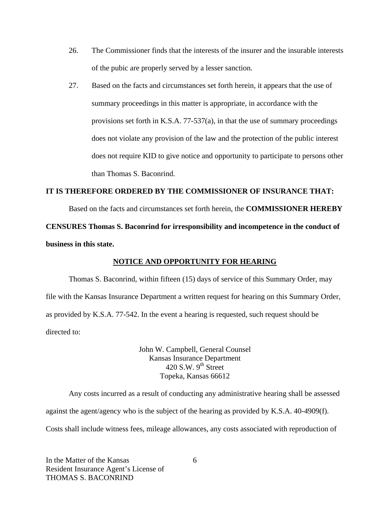- 26. The Commissioner finds that the interests of the insurer and the insurable interests of the pubic are properly served by a lesser sanction.
- 27. Based on the facts and circumstances set forth herein, it appears that the use of summary proceedings in this matter is appropriate, in accordance with the provisions set forth in K.S.A. 77-537(a), in that the use of summary proceedings does not violate any provision of the law and the protection of the public interest does not require KID to give notice and opportunity to participate to persons other than Thomas S. Baconrind.

#### **IT IS THEREFORE ORDERED BY THE COMMISSIONER OF INSURANCE THAT:**

Based on the facts and circumstances set forth herein, the **COMMISSIONER HEREBY CENSURES Thomas S. Baconrind for irresponsibility and incompetence in the conduct of business in this state.** 

### **NOTICE AND OPPORTUNITY FOR HEARING**

Thomas S. Baconrind, within fifteen (15) days of service of this Summary Order, may file with the Kansas Insurance Department a written request for hearing on this Summary Order, as provided by K.S.A. 77-542. In the event a hearing is requested, such request should be directed to:

> John W. Campbell, General Counsel Kansas Insurance Department 420 S.W.  $9<sup>th</sup>$  Street Topeka, Kansas 66612

Any costs incurred as a result of conducting any administrative hearing shall be assessed against the agent/agency who is the subject of the hearing as provided by K.S.A. 40-4909(f). Costs shall include witness fees, mileage allowances, any costs associated with reproduction of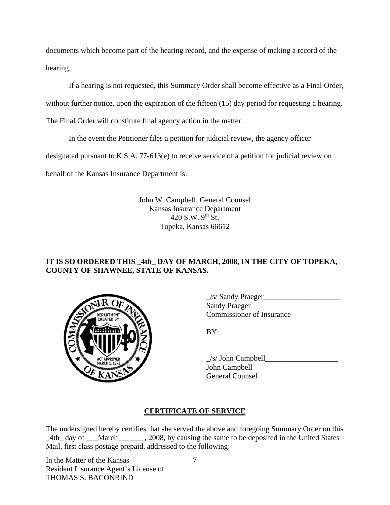documents which become part of the hearing record, and the expense of making a record of the hearing.

If a hearing is not requested, this Summary Order shall become effective as a Final Order,

without further notice, upon the expiration of the fifteen (15) day period for requesting a hearing.

The Final Order will constitute final agency action in the matter.

In the event the Petitioner files a petition for judicial review, the agency officer

designated pursuant to K.S.A. 77-613(e) to receive service of a petition for judicial review on

behalf of the Kansas Insurance Department is:

John W. Campbell, General Counsel Kansas Insurance Department 420 S.W.  $9^{th}$  St. Topeka, Kansas 66612

## **IT IS SO ORDERED THIS \_4th\_ DAY OF MARCH, 2008, IN THE CITY OF TOPEKA, COUNTY OF SHAWNEE, STATE OF KANSAS.**



 $\angle$ s/ Sandy Praeger $\angle$  Sandy Praeger EPARTMENT VOLTURE COmmissioner of Insurance

 $\angle$ s/ John Campbell $\angle$  John Campbell General Counsel

# **CERTIFICATE OF SERVICE**

The undersigned hereby certifies that she served the above and foregoing Summary Order on this \_4th\_ day of \_\_\_March\_\_\_\_\_\_\_, 2008, by causing the same to be deposited in the United States Mail, first class postage prepaid, addressed to the following:

In the Matter of the Kansas Resident Insurance Agent's License of THOMAS S. BACONRIND